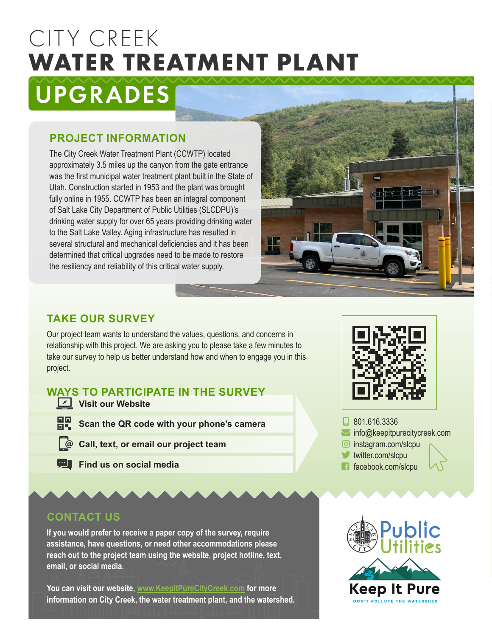# CITY CREEK **WATER TREATMENT PLANT**

# UPGRADES

### **PROJECT INFORMATION**

The City Creek Water Treatment Plant (CCWTP) located approximately 3.5 miles up the canyon from the gate entrance was the first municipal water treatment plant built in the State of Utah. Construction started in 1953 and the plant was brought fully online in 1955. CCWTP has been an integral component of Salt Lake City Department of Public Utilities (SLCDPU)'s drinking water supply for over 65 years providing drinking water to the Salt Lake Valley. Aging infrastructure has resulted in several structural and mechanical deficiencies and it has been determined that critical upgrades need to be made to restore the resiliency and reliability of this critical water supply.



### **TAKE OUR SURVEY**

Our project team wants to understand the values, questions, and concerns in relationship with this project. We are asking you to please take a few minutes to take our survey to help us better understand how and when to engage you in this project.

## **WAYS TO PARTICIPATE IN THE SURVEY**

- **Visit our Website**
- **BP** Scan the QR code with your phone's camera
- **Call, text, or email our project team**
- **Find us on social media**



## **CONTACT US**

**If you would prefer to receive a paper copy of the survey, require assistance, have questions, or need other accommodations please reach out to the project team using the website, project hotline, text, email, or social media.**

**You can visit our website, www.KeepItPureCityCreek.com for more information on City Creek, the water treatment plant, and the watershed.**



- $\Box$  801.616.3336
- $\blacksquare$  info@keepitpurecitycreek.com
- $\odot$  instagram.com/slcpu
- $\blacktriangleright$  twitter.com/slcpu
- $\blacksquare$  facebook.com/slcpu